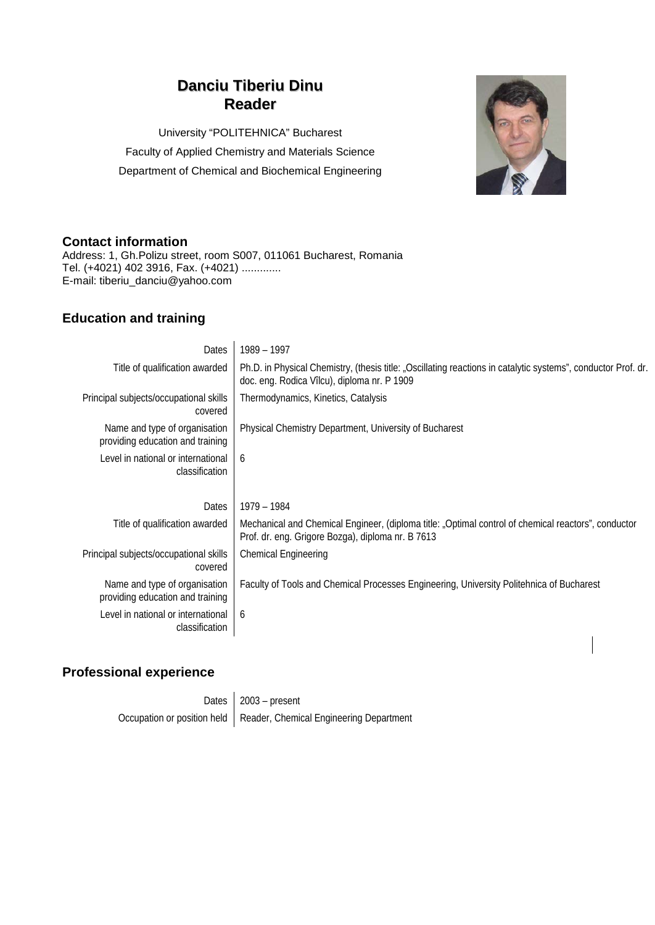# **Danciu Tiberiu Dinu Reader**

University "POLITEHNICA" Bucharest Faculty of Applied Chemistry and Materials Science Department of Chemical and Biochemical Engineering



### **Contact information**

Address: 1, Gh.Polizu street, room S007, 011061 Bucharest, Romania Tel. (+4021) 402 3916, Fax. (+4021) ............. E-mail: tiberiu\_danciu@yahoo.com

## **Education and training**

| Dates                                                             | 1989 - 1997                                                                                                                                                  |  |  |  |  |  |
|-------------------------------------------------------------------|--------------------------------------------------------------------------------------------------------------------------------------------------------------|--|--|--|--|--|
| Title of qualification awarded                                    | Ph.D. in Physical Chemistry, (thesis title: "Oscillating reactions in catalytic systems", conductor Prof. dr.<br>doc. eng. Rodica Vîlcu), diploma nr. P 1909 |  |  |  |  |  |
| Principal subjects/occupational skills<br>covered                 | Thermodynamics, Kinetics, Catalysis                                                                                                                          |  |  |  |  |  |
| Name and type of organisation<br>providing education and training | Physical Chemistry Department, University of Bucharest                                                                                                       |  |  |  |  |  |
| Level in national or international<br>classification              | 6                                                                                                                                                            |  |  |  |  |  |
| <b>Dates</b>                                                      | 1979 - 1984                                                                                                                                                  |  |  |  |  |  |
| Title of qualification awarded                                    | Mechanical and Chemical Engineer, (diploma title: "Optimal control of chemical reactors", conductor<br>Prof. dr. eng. Grigore Bozga), diploma nr. B 7613     |  |  |  |  |  |
| Principal subjects/occupational skills<br>covered                 | <b>Chemical Engineering</b>                                                                                                                                  |  |  |  |  |  |
| Name and type of organisation<br>providing education and training | Faculty of Tools and Chemical Processes Engineering, University Politehnica of Bucharest                                                                     |  |  |  |  |  |
| Level in national or international<br>classification              | 6                                                                                                                                                            |  |  |  |  |  |
|                                                                   |                                                                                                                                                              |  |  |  |  |  |

## **Professional experience**

| Dates $\vert$ 2003 – present                                          |
|-----------------------------------------------------------------------|
| Occupation or position held   Reader, Chemical Engineering Department |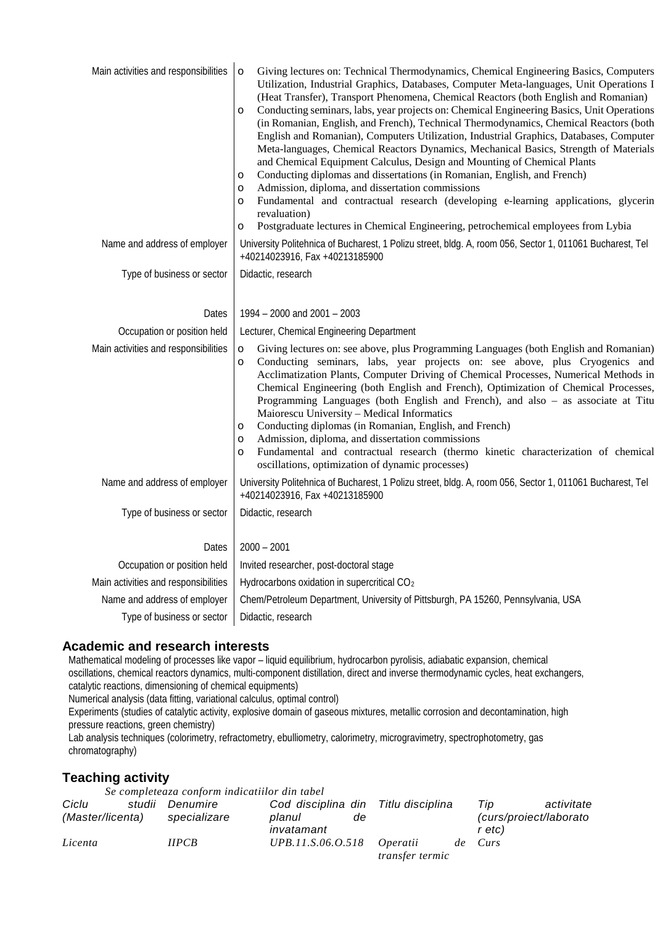| Main activities and responsibilities | Giving lectures on: Technical Thermodynamics, Chemical Engineering Basics, Computers<br>$\circ$<br>Utilization, Industrial Graphics, Databases, Computer Meta-languages, Unit Operations I<br>(Heat Transfer), Transport Phenomena, Chemical Reactors (both English and Romanian)<br>Conducting seminars, labs, year projects on: Chemical Engineering Basics, Unit Operations<br>$\circ$<br>(in Romanian, English, and French), Technical Thermodynamics, Chemical Reactors (both<br>English and Romanian), Computers Utilization, Industrial Graphics, Databases, Computer<br>Meta-languages, Chemical Reactors Dynamics, Mechanical Basics, Strength of Materials<br>and Chemical Equipment Calculus, Design and Mounting of Chemical Plants<br>Conducting diplomas and dissertations (in Romanian, English, and French)<br>$\circ$<br>Admission, diploma, and dissertation commissions<br>$\circ$<br>Fundamental and contractual research (developing e-learning applications, glycerin<br>$\circ$<br>revaluation)<br>Postgraduate lectures in Chemical Engineering, petrochemical employees from Lybia<br>$\circ$ |  |  |  |  |
|--------------------------------------|------------------------------------------------------------------------------------------------------------------------------------------------------------------------------------------------------------------------------------------------------------------------------------------------------------------------------------------------------------------------------------------------------------------------------------------------------------------------------------------------------------------------------------------------------------------------------------------------------------------------------------------------------------------------------------------------------------------------------------------------------------------------------------------------------------------------------------------------------------------------------------------------------------------------------------------------------------------------------------------------------------------------------------------------------------------------------------------------------------------------|--|--|--|--|
| Name and address of employer         | University Politehnica of Bucharest, 1 Polizu street, bldg. A, room 056, Sector 1, 011061 Bucharest, Tel<br>+40214023916, Fax +40213185900                                                                                                                                                                                                                                                                                                                                                                                                                                                                                                                                                                                                                                                                                                                                                                                                                                                                                                                                                                             |  |  |  |  |
| Type of business or sector           | Didactic, research                                                                                                                                                                                                                                                                                                                                                                                                                                                                                                                                                                                                                                                                                                                                                                                                                                                                                                                                                                                                                                                                                                     |  |  |  |  |
| Dates                                | 1994 - 2000 and 2001 - 2003                                                                                                                                                                                                                                                                                                                                                                                                                                                                                                                                                                                                                                                                                                                                                                                                                                                                                                                                                                                                                                                                                            |  |  |  |  |
| Occupation or position held          | Lecturer, Chemical Engineering Department                                                                                                                                                                                                                                                                                                                                                                                                                                                                                                                                                                                                                                                                                                                                                                                                                                                                                                                                                                                                                                                                              |  |  |  |  |
| Main activities and responsibilities | Giving lectures on: see above, plus Programming Languages (both English and Romanian)<br>$\circ$<br>Conducting seminars, labs, year projects on: see above, plus Cryogenics and<br>$\circ$<br>Acclimatization Plants, Computer Driving of Chemical Processes, Numerical Methods in<br>Chemical Engineering (both English and French), Optimization of Chemical Processes,<br>Programming Languages (both English and French), and also - as associate at Titu<br>Maiorescu University - Medical Informatics<br>Conducting diplomas (in Romanian, English, and French)<br>$\circ$<br>Admission, diploma, and dissertation commissions<br>$\circ$<br>Fundamental and contractual research (thermo kinetic characterization of chemical<br>$\circ$<br>oscillations, optimization of dynamic processes)                                                                                                                                                                                                                                                                                                                    |  |  |  |  |
| Name and address of employer         | University Politehnica of Bucharest, 1 Polizu street, bldg. A, room 056, Sector 1, 011061 Bucharest, Tel<br>+40214023916, Fax +40213185900                                                                                                                                                                                                                                                                                                                                                                                                                                                                                                                                                                                                                                                                                                                                                                                                                                                                                                                                                                             |  |  |  |  |
| Type of business or sector           | Didactic, research                                                                                                                                                                                                                                                                                                                                                                                                                                                                                                                                                                                                                                                                                                                                                                                                                                                                                                                                                                                                                                                                                                     |  |  |  |  |
| Dates                                | $2000 - 2001$                                                                                                                                                                                                                                                                                                                                                                                                                                                                                                                                                                                                                                                                                                                                                                                                                                                                                                                                                                                                                                                                                                          |  |  |  |  |
| Occupation or position held          | Invited researcher, post-doctoral stage                                                                                                                                                                                                                                                                                                                                                                                                                                                                                                                                                                                                                                                                                                                                                                                                                                                                                                                                                                                                                                                                                |  |  |  |  |
| Main activities and responsibilities | Hydrocarbons oxidation in supercritical CO <sub>2</sub>                                                                                                                                                                                                                                                                                                                                                                                                                                                                                                                                                                                                                                                                                                                                                                                                                                                                                                                                                                                                                                                                |  |  |  |  |
| Name and address of employer         | Chem/Petroleum Department, University of Pittsburgh, PA 15260, Pennsylvania, USA                                                                                                                                                                                                                                                                                                                                                                                                                                                                                                                                                                                                                                                                                                                                                                                                                                                                                                                                                                                                                                       |  |  |  |  |
| Type of business or sector           | Didactic, research                                                                                                                                                                                                                                                                                                                                                                                                                                                                                                                                                                                                                                                                                                                                                                                                                                                                                                                                                                                                                                                                                                     |  |  |  |  |

### **Academic and research interests**

Mathematical modeling of processes like vapor – liquid equilibrium, hydrocarbon pyrolisis, adiabatic expansion, chemical oscillations, chemical reactors dynamics, multi-component distillation, direct and inverse thermodynamic cycles, heat exchangers, catalytic reactions, dimensioning of chemical equipments)

Numerical analysis (data fitting, variational calculus, optimal control)

Experiments (studies of catalytic activity, explosive domain of gaseous mixtures, metallic corrosion and decontamination, high pressure reactions, green chemistry)

Lab analysis techniques (colorimetry, refractometry, ebulliometry, calorimetry, microgravimetry, spectrophotometry, gas chromatography)

### **Teaching activity**

*Se completeaza conform indicatiilor din tabel*

| Ciclu            | studii Denumire | Cod disciplina din Titlu disciplina |    |                        |    | Tip                   | activitate |
|------------------|-----------------|-------------------------------------|----|------------------------|----|-----------------------|------------|
| (Master/licenta) | specializare    | planul                              | de |                        |    | curs/proiect/laborato |            |
|                  |                 | invatamant                          |    |                        |    | r etc)                |            |
| Licenta          | HPCB            | UPB.11.S.06.O.518                   |    | <i>Operatii</i>        | de | Curs                  |            |
|                  |                 |                                     |    | <i>transfer termic</i> |    |                       |            |